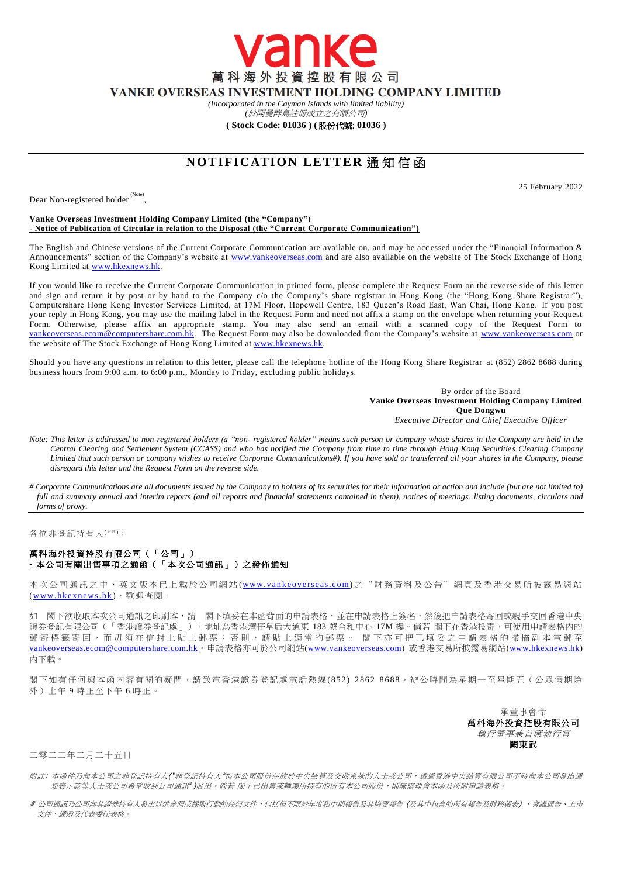萬科海外投資控股有限公司 VANKE OVERSEAS INVESTMENT HOLDING COMPANY LIMITED

anke

*(Incorporated in the Cayman Islands with limited liability)* 

*(*於開曼群島註冊成立之有限公司*)*

## **( Stock Code: 01036 ) (** 股份代號: **01036 )**

## **NOTIFICATION LETTER 通知信函**

Dear Non-registered holder<sup>(Note)</sup>,

25 February 2022

## **Vanke Overseas Investment Holding Company Limited (the "Company") - Notice of Publication of Circular in relation to the Disposal (the "Current Corporate Communication")**

The English and Chinese versions of the Current Corporate Communication are available on, and may be acc essed under the "Financial Information & Announcements" section of the Company's website at [www.vankeoverseas.com](http://www.vankeoverseas.com/) and are also available on the website of The Stock Exchange of Hong Kong Limited at [www.hkexnews.hk.](http://www.hkexnews.hk/)

If you would like to receive the Current Corporate Communication in printed form, please complete the Request Form on the reverse side of this letter and sign and return it by post or by hand to the Company c/o the Company's share registrar in Hong Kong (the "Hong Kong Share Registrar"), Computershare Hong Kong Investor Services Limited, at 17M Floor, Hopewell Centre, 183 Queen's Road East, Wan Chai, Hong Kong. If you post your reply in Hong Kong, you may use the mailing label in the Request Form and need not affix a stamp on the envelope when returning your Request Form. Otherwise, please affix an appropriate stamp. You may also send an email with a scanned copy of the Request Form to [vankeoverseas.ecom@computershare.com.hk.](mailto:vankeoverseas.ecom@computershare.com.hk) The Request Form may also be downloaded from the Company's website at [www.vankeoverseas.com](http://www.vankeoverseas.com/) or the website of The Stock Exchange of Hong Kong Limited at <u>www.hkexnews.hk</u>.

Should you have any questions in relation to this letter, please call the telephone hotline of the Hong Kong Share Registrar at (852) 2862 8688 during business hours from 9:00 a.m. to 6:00 p.m., Monday to Friday, excluding public holidays.

> By order of the Board **Vanke Overseas Investment Holding Company Limited Que Dongwu** *Executive Director and Chief Executive Officer*

- *Note: This letter is addressed to non-registered holders (a "non- registered holder" means such person or company whose shares in the Company are held in the Central Clearing and Settlement System (CCASS) and who has notified the Company from time to time through Hong Kong Securities Clearing Company Limited that such person or company wishes to receive Corporate Communications#). If you have sold or transferred all your shares in the Company, please disregard this letter and the Request Form on the reverse side.*
- *# Corporate Communications are all documents issued by the Company to holders of its securities for their information or action and include (but are not limited to)*  full and summary annual and interim reports (and all reports and financial statements contained in them), notices of meetings, listing documents, circulars and *forms of proxy.*

各位非登記持有人<sup>( #注)</sup>:

## 萬科海外投資控股有限公司(「公司」) **-** 本公司有關出售事項之通函(「本次公司通訊」)之發佈通知

本次公司通訊之中、英文版本已上載於公司網站 (www.vankeoverseas.com) 之 "財 務 資料及公告"網頁及香港交易所披露易網站 (www.hkexnews.hk), 歡迎查閱。

如 閣下欲收取本次公司通訊之印刷本,請 閣下填妥在本函背面的申請表格,並在申請表格上簽名,然後把申請表格寄回或親手交回香港中央 證券登記有限公司(「香港證券登記處」),地址為香港灣仔皇后大道東 183 號合和中心 17M 樓。倘若 閣下在香港投寄,可使用申請表格內的 郵 寄 標 籤 寄 回 , 而 毋 須 在 信 封 上 貼 上 郵 票 ; 否 則 , 請 貼 上 適 當 的 郵 票 。 閣 下 亦 可 把 已 填 妥 之 申 請 表 格 的 掃 描 副 本 電 郵 至 [vankeoverseas.ecom@computershare.com.hk](mailto:vankeoverseas.ecom@computershare.com.hk)。申請表格亦可於公司網站[\(www.vankeoverseas.com\)](http://www.vankeoverseas.com/) 或香港交易所披露易網站[\(www.hkexnews.hk\)](http://www.hkexnews.hk/) 內下載。

閣下如有任何與本函內容有關的疑問,請致電香港證券登記處電話熱線(852) 2862 8688,辦公時間為星期一至星期五(公眾假期除 外)上午 9 時正至下午 6 時正。

> 承董事會命 萬科海外投資控股有限公司 執行董事兼首席執行官 闕東武

二零二二年二月二十五日

- 附註: 本函件乃向本公司之非登記持有人("非登記持有人"指本公司股份存放於中央結算及交收系統的人士或公司,透過香港中央結算有限公司不時向本公司發出通 知表示該等人士或公司希望收到公司通訊 )發出。倘若 閣下已出售或轉讓所持有的所有本公司股份,則無需理會本函及所附申請表格。
- # 公司通訊乃公司向其證券持有人發出以供參照或採取行動的任何文件,包括但不限於年度和中期報告及其摘要報告 (及其中包含的所有報告及財務報表) 、會議通告、上市 文件、通函及代表委任表格。